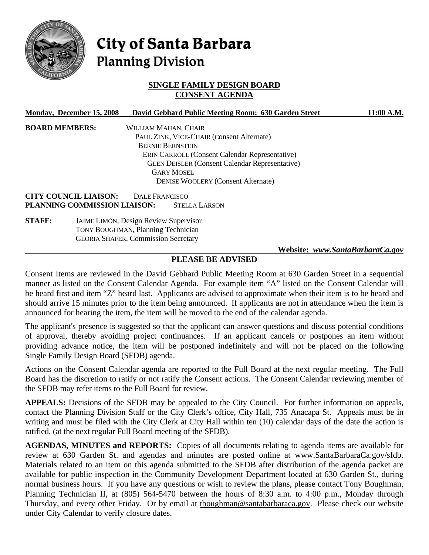

# City of Santa Barbara **Planning Division**

## **SINGLE FAMILY DESIGN BOARD CONSENT AGENDA**

| Monday, December 15, 2008                                    | David Gebhard Public Meeting Room: 630 Garden Street  | 11:00 A.M. |
|--------------------------------------------------------------|-------------------------------------------------------|------------|
| <b>BOARD MEMBERS:</b>                                        | WILLIAM MAHAN, CHAIR                                  |            |
|                                                              | PAUL ZINK, VICE-CHAIR (Consent Alternate)             |            |
|                                                              | <b>BERNIE BERNSTEIN</b>                               |            |
|                                                              | <b>ERIN CARROLL (Consent Calendar Representative)</b> |            |
|                                                              | <b>GLEN DEISLER (Consent Calendar Representative)</b> |            |
|                                                              | <b>GARY MOSEL</b>                                     |            |
|                                                              | <b>DENISE WOOLERY (Consent Alternate)</b>             |            |
| <b>CITY COUNCIL LIAISON:</b><br>PLANNING COMMISSION LIAISON: | DALE FRANCISCO<br><b>STELLA LARSON</b>                |            |

**STAFF:** JAIME LIMÓN, Design Review Supervisor TONY BOUGHMAN, Planning Technician GLORIA SHAFER, Commission Secretary

#### **Website:** *www.SantaBarbaraCa.gov*

## **PLEASE BE ADVISED**

Consent Items are reviewed in the David Gebhard Public Meeting Room at 630 Garden Street in a sequential manner as listed on the Consent Calendar Agenda. For example item "A" listed on the Consent Calendar will be heard first and item "Z" heard last. Applicants are advised to approximate when their item is to be heard and should arrive 15 minutes prior to the item being announced. If applicants are not in attendance when the item is announced for hearing the item, the item will be moved to the end of the calendar agenda.

The applicant's presence is suggested so that the applicant can answer questions and discuss potential conditions of approval, thereby avoiding project continuances. If an applicant cancels or postpones an item without providing advance notice, the item will be postponed indefinitely and will not be placed on the following Single Family Design Board (SFDB) agenda.

Actions on the Consent Calendar agenda are reported to the Full Board at the next regular meeting. The Full Board has the discretion to ratify or not ratify the Consent actions. The Consent Calendar reviewing member of the SFDB may refer items to the Full Board for review.

**APPEALS:** Decisions of the SFDB may be appealed to the City Council. For further information on appeals, contact the Planning Division Staff or the City Clerk's office, City Hall, 735 Anacapa St. Appeals must be in writing and must be filed with the City Clerk at City Hall within ten (10) calendar days of the date the action is ratified, (at the next regular Full Board meeting of the SFDB).

**AGENDAS, MINUTES and REPORTS:** Copies of all documents relating to agenda items are available for review at 630 Garden St. and agendas and minutes are posted online at www.SantaBarbaraCa.gov/sfdb. Materials related to an item on this agenda submitted to the SFDB after distribution of the agenda packet are available for public inspection in the Community Development Department located at 630 Garden St., during normal business hours. If you have any questions or wish to review the plans, please contact Tony Boughman, Planning Technician II, at (805) 564-5470 between the hours of 8:30 a.m. to 4:00 p.m., Monday through Thursday, and every other Friday. Or by email at tboughman@santabarbaraca.gov. Please check our website under City Calendar to verify closure dates.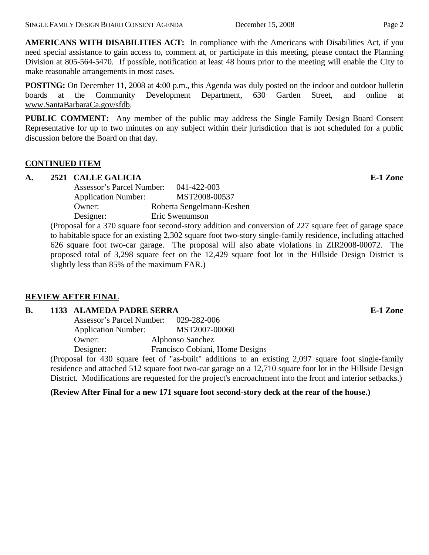**AMERICANS WITH DISABILITIES ACT:** In compliance with the Americans with Disabilities Act, if you need special assistance to gain access to, comment at, or participate in this meeting, please contact the Planning Division at 805-564-5470. If possible, notification at least 48 hours prior to the meeting will enable the City to make reasonable arrangements in most cases.

**POSTING:** On December 11, 2008 at 4:00 p.m., this Agenda was duly posted on the indoor and outdoor bulletin boards at the Community Development Department, 630 Garden Street, and online at www.SantaBarbaraCa.gov/sfdb.

**PUBLIC COMMENT:** Any member of the public may address the Single Family Design Board Consent Representative for up to two minutes on any subject within their jurisdiction that is not scheduled for a public discussion before the Board on that day.

## **CONTINUED ITEM**

## **A. 2521 CALLE GALICIA E-1 Zone**

 Assessor's Parcel Number: 041-422-003 Application Number: MST2008-00537 Owner: Roberta Sengelmann-Keshen Designer: Eric Swenumson

(Proposal for a 370 square foot second-story addition and conversion of 227 square feet of garage space to habitable space for an existing 2,302 square foot two-story single-family residence, including attached 626 square foot two-car garage. The proposal will also abate violations in ZIR2008-00072. The proposed total of 3,298 square feet on the 12,429 square foot lot in the Hillside Design District is slightly less than 85% of the maximum FAR.)

## **REVIEW AFTER FINAL**

## **B.** 1133 ALAMEDA PADRE SERRA **E-1** Zone

 Assessor's Parcel Number: 029-282-006 Application Number: MST2007-00060 Owner: Alphonso Sanchez Designer: Francisco Cobiani, Home Designs

(Proposal for 430 square feet of "as-built" additions to an existing 2,097 square foot single-family residence and attached 512 square foot two-car garage on a 12,710 square foot lot in the Hillside Design District. Modifications are requested for the project's encroachment into the front and interior setbacks.)

#### **(Review After Final for a new 171 square foot second-story deck at the rear of the house.)**